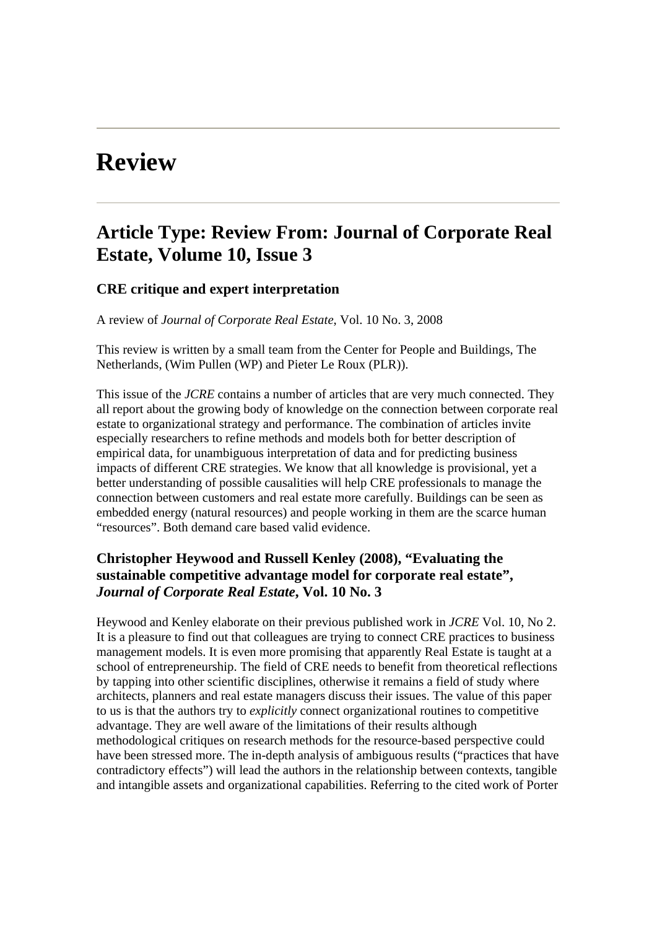# **Review**

# **Article Type: Review From: Journal of Corporate Real Estate, Volume 10, Issue 3**

#### **CRE critique and expert interpretation**

A review of *Journal of Corporate Real Estate*, Vol. 10 No. 3, 2008

This review is written by a small team from the Center for People and Buildings, The Netherlands, (Wim Pullen (WP) and Pieter Le Roux (PLR)).

This issue of the *JCRE* contains a number of articles that are very much connected. They all report about the growing body of knowledge on the connection between corporate real estate to organizational strategy and performance. The combination of articles invite especially researchers to refine methods and models both for better description of empirical data, for unambiguous interpretation of data and for predicting business impacts of different CRE strategies. We know that all knowledge is provisional, yet a better understanding of possible causalities will help CRE professionals to manage the connection between customers and real estate more carefully. Buildings can be seen as embedded energy (natural resources) and people working in them are the scarce human "resources". Both demand care based valid evidence.

#### **Christopher Heywood and Russell Kenley (2008), "Evaluating the sustainable competitive advantage model for corporate real estate",**  *Journal of Corporate Real Estate***, Vol. 10 No. 3**

Heywood and Kenley elaborate on their previous published work in *JCRE* Vol. 10, No 2. It is a pleasure to find out that colleagues are trying to connect CRE practices to business management models. It is even more promising that apparently Real Estate is taught at a school of entrepreneurship. The field of CRE needs to benefit from theoretical reflections by tapping into other scientific disciplines, otherwise it remains a field of study where architects, planners and real estate managers discuss their issues. The value of this paper to us is that the authors try to *explicitly* connect organizational routines to competitive advantage. They are well aware of the limitations of their results although methodological critiques on research methods for the resource-based perspective could have been stressed more. The in-depth analysis of ambiguous results ("practices that have contradictory effects") will lead the authors in the relationship between contexts, tangible and intangible assets and organizational capabilities. Referring to the cited work of Porter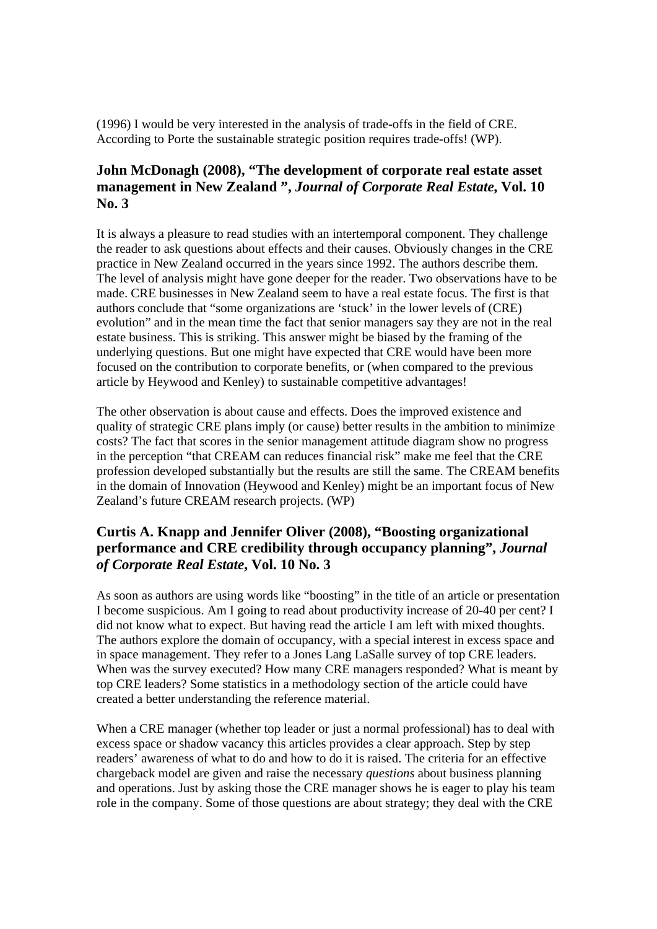(1996) I would be very interested in the analysis of trade-offs in the field of CRE. According to Porte the sustainable strategic position requires trade-offs! (WP).

#### **John McDonagh (2008), "The development of corporate real estate asset management in New Zealand ",** *Journal of Corporate Real Estate***, Vol. 10 No. 3**

It is always a pleasure to read studies with an intertemporal component. They challenge the reader to ask questions about effects and their causes. Obviously changes in the CRE practice in New Zealand occurred in the years since 1992. The authors describe them. The level of analysis might have gone deeper for the reader. Two observations have to be made. CRE businesses in New Zealand seem to have a real estate focus. The first is that authors conclude that "some organizations are 'stuck' in the lower levels of (CRE) evolution" and in the mean time the fact that senior managers say they are not in the real estate business. This is striking. This answer might be biased by the framing of the underlying questions. But one might have expected that CRE would have been more focused on the contribution to corporate benefits, or (when compared to the previous article by Heywood and Kenley) to sustainable competitive advantages!

The other observation is about cause and effects. Does the improved existence and quality of strategic CRE plans imply (or cause) better results in the ambition to minimize costs? The fact that scores in the senior management attitude diagram show no progress in the perception "that CREAM can reduces financial risk" make me feel that the CRE profession developed substantially but the results are still the same. The CREAM benefits in the domain of Innovation (Heywood and Kenley) might be an important focus of New Zealand's future CREAM research projects. (WP)

## **Curtis A. Knapp and Jennifer Oliver (2008), "Boosting organizational performance and CRE credibility through occupancy planning",** *Journal of Corporate Real Estate***, Vol. 10 No. 3**

As soon as authors are using words like "boosting" in the title of an article or presentation I become suspicious. Am I going to read about productivity increase of 20-40 per cent? I did not know what to expect. But having read the article I am left with mixed thoughts. The authors explore the domain of occupancy, with a special interest in excess space and in space management. They refer to a Jones Lang LaSalle survey of top CRE leaders. When was the survey executed? How many CRE managers responded? What is meant by top CRE leaders? Some statistics in a methodology section of the article could have created a better understanding the reference material.

When a CRE manager (whether top leader or just a normal professional) has to deal with excess space or shadow vacancy this articles provides a clear approach. Step by step readers' awareness of what to do and how to do it is raised. The criteria for an effective chargeback model are given and raise the necessary *questions* about business planning and operations. Just by asking those the CRE manager shows he is eager to play his team role in the company. Some of those questions are about strategy; they deal with the CRE